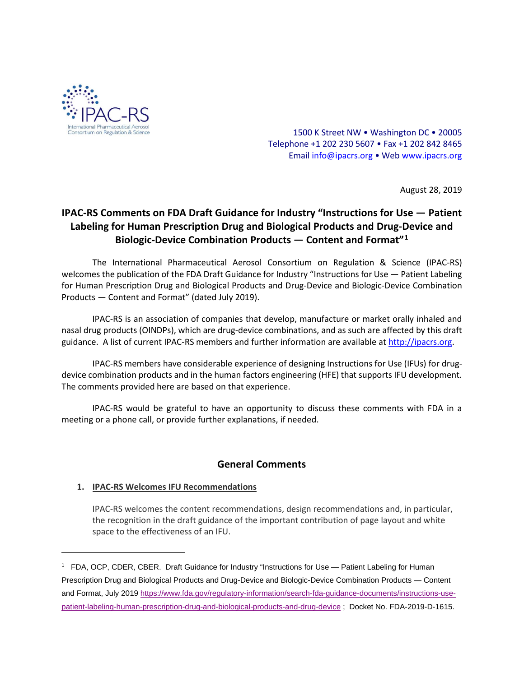

1500 K Street NW • Washington DC • 20005 Telephone +1 202 230 5607 • Fax +1 202 842 8465 Emai[l info@ipacrs.org](mailto:info@ipacrs.org) • We[b www.ipacrs.org](http://www.ipacrs.org/)

August 28, 2019

# **IPAC-RS Comments on FDA Draft Guidance for Industry "Instructions for Use — Patient Labeling for Human Prescription Drug and Biological Products and Drug-Device and Biologic-Device Combination Products — Content and Format"[1](#page-0-0)**

The International Pharmaceutical Aerosol Consortium on Regulation & Science (IPAC-RS) welcomes the publication of the FDA Draft Guidance for Industry "Instructions for Use — Patient Labeling for Human Prescription Drug and Biological Products and Drug-Device and Biologic-Device Combination Products — Content and Format" (dated July 2019).

IPAC-RS is an association of companies that develop, manufacture or market orally inhaled and nasal drug products (OINDPs), which are drug-device combinations, and as such are affected by this draft guidance. A list of current IPAC-RS members and further information are available at [http://ipacrs.org.](http://ipacrs.org/)

IPAC-RS members have considerable experience of designing Instructions for Use (IFUs) for drugdevice combination products and in the human factors engineering (HFE) that supports IFU development. The comments provided here are based on that experience.

IPAC-RS would be grateful to have an opportunity to discuss these comments with FDA in a meeting or a phone call, or provide further explanations, if needed.

## **General Comments**

## **1. IPAC-RS Welcomes IFU Recommendations**

l

IPAC-RS welcomes the content recommendations, design recommendations and, in particular, the recognition in the draft guidance of the important contribution of page layout and white space to the effectiveness of an IFU.

<span id="page-0-0"></span><sup>1</sup> FDA, OCP, CDER, CBER. Draft Guidance for Industry "Instructions for Use — Patient Labeling for Human Prescription Drug and Biological Products and Drug-Device and Biologic-Device Combination Products — Content and Format, July 2019 [https://www.fda.gov/regulatory-information/search-fda-guidance-documents/instructions-use](https://www.fda.gov/regulatory-information/search-fda-guidance-documents/instructions-use-patient-labeling-human-prescription-drug-and-biological-products-and-drug-device)[patient-labeling-human-prescription-drug-and-biological-products-and-drug-device](https://www.fda.gov/regulatory-information/search-fda-guidance-documents/instructions-use-patient-labeling-human-prescription-drug-and-biological-products-and-drug-device) ; Docket No. FDA-2019-D-1615.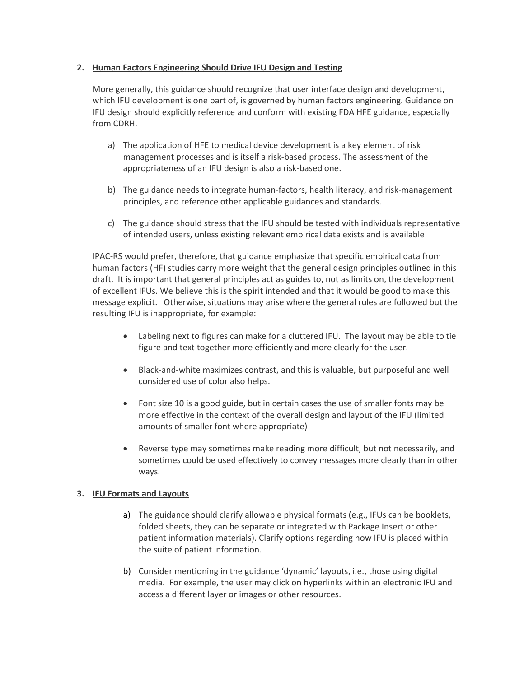### **2. Human Factors Engineering Should Drive IFU Design and Testing**

More generally, this guidance should recognize that user interface design and development, which IFU development is one part of, is governed by human factors engineering. Guidance on IFU design should explicitly reference and conform with existing FDA HFE guidance, especially from CDRH.

- a) The application of HFE to medical device development is a key element of risk management processes and is itself a risk-based process. The assessment of the appropriateness of an IFU design is also a risk-based one.
- b) The guidance needs to integrate human-factors, health literacy, and risk-management principles, and reference other applicable guidances and standards.
- c) The guidance should stress that the IFU should be tested with individuals representative of intended users, unless existing relevant empirical data exists and is available

IPAC-RS would prefer, therefore, that guidance emphasize that specific empirical data from human factors (HF) studies carry more weight that the general design principles outlined in this draft. It is important that general principles act as guides to, not as limits on, the development of excellent IFUs. We believe this is the spirit intended and that it would be good to make this message explicit. Otherwise, situations may arise where the general rules are followed but the resulting IFU is inappropriate, for example:

- Labeling next to figures can make for a cluttered IFU. The layout may be able to tie figure and text together more efficiently and more clearly for the user.
- Black-and-white maximizes contrast, and this is valuable, but purposeful and well considered use of color also helps.
- Font size 10 is a good guide, but in certain cases the use of smaller fonts may be more effective in the context of the overall design and layout of the IFU (limited amounts of smaller font where appropriate)
- Reverse type may sometimes make reading more difficult, but not necessarily, and sometimes could be used effectively to convey messages more clearly than in other ways.

### **3. IFU Formats and Layouts**

- a) The guidance should clarify allowable physical formats (e.g., IFUs can be booklets, folded sheets, they can be separate or integrated with Package Insert or other patient information materials). Clarify options regarding how IFU is placed within the suite of patient information.
- b) Consider mentioning in the guidance 'dynamic' layouts, i.e., those using digital media. For example, the user may click on hyperlinks within an electronic IFU and access a different layer or images or other resources.